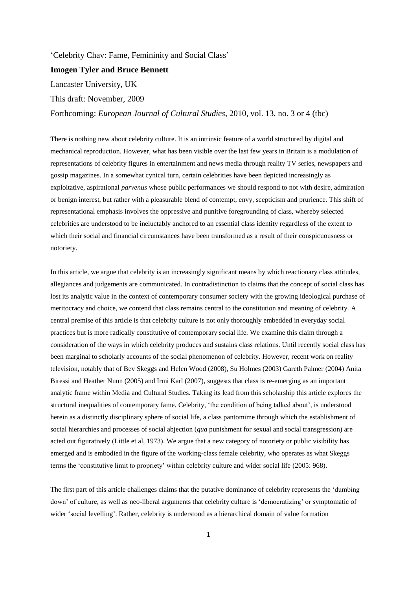# ‗Celebrity Chav: Fame, Femininity and Social Class'

# **Imogen Tyler and Bruce Bennett**

Lancaster University, UK

This draft: November, 2009

Forthcoming: *European Journal of Cultural Studies*, 2010, vol. 13, no. 3 or 4 (tbc)

There is nothing new about celebrity culture. It is an intrinsic feature of a world structured by digital and mechanical reproduction. However, what has been visible over the last few years in Britain is a modulation of representations of celebrity figures in entertainment and news media through reality TV series, newspapers and gossip magazines. In a somewhat cynical turn, certain celebrities have been depicted increasingly as exploitative, aspirational *parvenus* whose public performances we should respond to not with desire, admiration or benign interest, but rather with a pleasurable blend of contempt, envy, scepticism and prurience. This shift of representational emphasis involves the oppressive and punitive foregrounding of class, whereby selected celebrities are understood to be ineluctably anchored to an essential class identity regardless of the extent to which their social and financial circumstances have been transformed as a result of their conspicuousness or notoriety.

In this article, we argue that celebrity is an increasingly significant means by which reactionary class attitudes, allegiances and judgements are communicated. In contradistinction to claims that the concept of social class has lost its analytic value in the context of contemporary consumer society with the growing ideological purchase of meritocracy and choice, we contend that class remains central to the constitution and meaning of celebrity. A central premise of this article is that celebrity culture is not only thoroughly embedded in everyday social practices but is more radically constitutive of contemporary social life. We examine this claim through a consideration of the ways in which celebrity produces and sustains class relations. Until recently social class has been marginal to scholarly accounts of the social phenomenon of celebrity. However, recent work on reality television, notably that of Bev Skeggs and Helen Wood (2008), Su Holmes (2003) Gareth Palmer (2004) Anita Biressi and Heather Nunn (2005) and Irmi Karl (2007), suggests that class is re-emerging as an important analytic frame within Media and Cultural Studies. Taking its lead from this scholarship this article explores the structural inequalities of contemporary fame. Celebrity, ‗the condition of being talked about', is understood herein as a distinctly disciplinary sphere of social life, a class pantomime through which the establishment of social hierarchies and processes of social abjection (*qua* punishment for sexual and social transgression) are acted out figuratively (Little et al, 1973). We argue that a new category of notoriety or public visibility has emerged and is embodied in the figure of the working-class female celebrity, who operates as what Skeggs terms the ‗constitutive limit to propriety' within celebrity culture and wider social life (2005: 968).

The first part of this article challenges claims that the putative dominance of celebrity represents the 'dumbing down' of culture, as well as neo-liberal arguments that celebrity culture is ‗democratizing' or symptomatic of wider ‗social levelling'. Rather, celebrity is understood as a hierarchical domain of value formation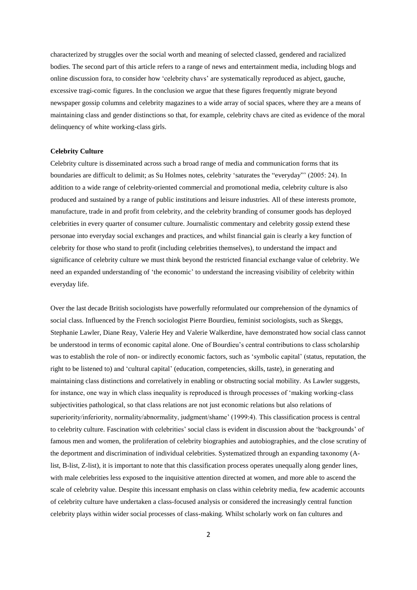characterized by struggles over the social worth and meaning of selected classed, gendered and racialized bodies. The second part of this article refers to a range of news and entertainment media, including blogs and online discussion fora, to consider how ‗celebrity chavs' are systematically reproduced as abject, gauche, excessive tragi-comic figures. In the conclusion we argue that these figures frequently migrate beyond newspaper gossip columns and celebrity magazines to a wide array of social spaces, where they are a means of maintaining class and gender distinctions so that, for example, celebrity chavs are cited as evidence of the moral delinquency of white working-class girls.

## **Celebrity Culture**

Celebrity culture is disseminated across such a broad range of media and communication forms that its boundaries are difficult to delimit; as Su Holmes notes, celebrity 'saturates the "everyday"' (2005: 24). In addition to a wide range of celebrity-oriented commercial and promotional media, celebrity culture is also produced and sustained by a range of public institutions and leisure industries. All of these interests promote, manufacture, trade in and profit from celebrity, and the celebrity branding of consumer goods has deployed celebrities in every quarter of consumer culture. Journalistic commentary and celebrity gossip extend these personae into everyday social exchanges and practices, and whilst financial gain is clearly a key function of celebrity for those who stand to profit (including celebrities themselves), to understand the impact and significance of celebrity culture we must think beyond the restricted financial exchange value of celebrity. We need an expanded understanding of 'the economic' to understand the increasing visibility of celebrity within everyday life.

Over the last decade British sociologists have powerfully reformulated our comprehension of the dynamics of social class. Influenced by the French sociologist Pierre Bourdieu, feminist sociologists, such as Skeggs, Stephanie Lawler, Diane Reay, Valerie Hey and Valerie Walkerdine, have demonstrated how social class cannot be understood in terms of economic capital alone. One of Bourdieu's central contributions to class scholarship was to establish the role of non- or indirectly economic factors, such as 'symbolic capital' (status, reputation, the right to be listened to) and 'cultural capital' (education, competencies, skills, taste), in generating and maintaining class distinctions and correlatively in enabling or obstructing social mobility. As Lawler suggests, for instance, one way in which class inequality is reproduced is through processes of 'making working-class subjectivities pathological, so that class relations are not just economic relations but also relations of superiority/inferiority, normality/abnormality, judgment/shame' (1999:4). This classification process is central to celebrity culture. Fascination with celebrities' social class is evident in discussion about the 'backgrounds' of famous men and women, the proliferation of celebrity biographies and autobiographies, and the close scrutiny of the deportment and discrimination of individual celebrities. Systematized through an expanding taxonomy (Alist, B-list, Z-list), it is important to note that this classification process operates unequally along gender lines, with male celebrities less exposed to the inquisitive attention directed at women, and more able to ascend the scale of celebrity value. Despite this incessant emphasis on class within celebrity media, few academic accounts of celebrity culture have undertaken a class-focused analysis or considered the increasingly central function celebrity plays within wider social processes of class-making. Whilst scholarly work on fan cultures and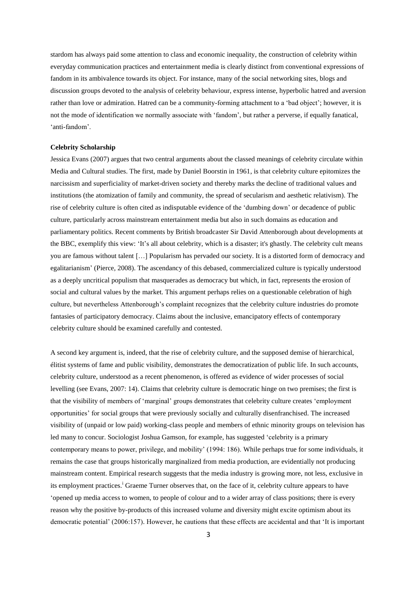stardom has always paid some attention to class and economic inequality, the construction of celebrity within everyday communication practices and entertainment media is clearly distinct from conventional expressions of fandom in its ambivalence towards its object. For instance, many of the social networking sites, blogs and discussion groups devoted to the analysis of celebrity behaviour, express intense, hyperbolic hatred and aversion rather than love or admiration. Hatred can be a community-forming attachment to a 'bad object'; however, it is not the mode of identification we normally associate with 'fandom', but rather a perverse, if equally fanatical, 'anti-fandom'.

## **Celebrity Scholarship**

Jessica Evans (2007) argues that two central arguments about the classed meanings of celebrity circulate within Media and Cultural studies. The first, made by Daniel Boorstin in 1961, is that celebrity culture epitomizes the narcissism and superficiality of market-driven society and thereby marks the decline of traditional values and institutions (the atomization of family and community, the spread of secularism and aesthetic relativism). The rise of celebrity culture is often cited as indisputable evidence of the ‗dumbing down' or decadence of public culture, particularly across mainstream entertainment media but also in such domains as education and parliamentary politics. Recent comments by British broadcaster Sir David Attenborough about developments at the BBC, exemplify this view: ‗It's all about celebrity, which is a disaster; it's ghastly. The celebrity cult means you are famous without talent […] Popularism has pervaded our society. It is a distorted form of democracy and egalitarianism' (Pierce, 2008). The ascendancy of this debased, commercialized culture is typically understood as a deeply uncritical populism that masquerades as democracy but which, in fact, represents the erosion of social and cultural values by the market. This argument perhaps relies on a questionable celebration of high culture, but nevertheless Attenborough's complaint recognizes that the celebrity culture industries do promote fantasies of participatory democracy. Claims about the inclusive, emancipatory effects of contemporary celebrity culture should be examined carefully and contested.

A second key argument is, indeed, that the rise of celebrity culture, and the supposed demise of hierarchical, élitist systems of fame and public visibility, demonstrates the democratization of public life. In such accounts, celebrity culture, understood as a recent phenomenon, is offered as evidence of wider processes of social levelling (see Evans, 2007: 14). Claims that celebrity culture is democratic hinge on two premises; the first is that the visibility of members of 'marginal' groups demonstrates that celebrity culture creates 'employment opportunities' for social groups that were previously socially and culturally disenfranchised. The increased visibility of (unpaid or low paid) working-class people and members of ethnic minority groups on television has led many to concur. Sociologist Joshua Gamson, for example, has suggested 'celebrity is a primary contemporary means to power, privilege, and mobility' (1994: 186). While perhaps true for some individuals, it remains the case that groups historically marginalized from media production, are evidentially not producing mainstream content. Empirical research suggests that the media industry is growing more, not less, exclusive in its employment practices.<sup>i</sup> Graeme Turner observes that, on the face of it, celebrity culture appears to have ‗opened up media access to women, to people of colour and to a wider array of class positions; there is every reason why the positive by-products of this increased volume and diversity might excite optimism about its democratic potential' (2006:157). However, he cautions that these effects are accidental and that 'It is important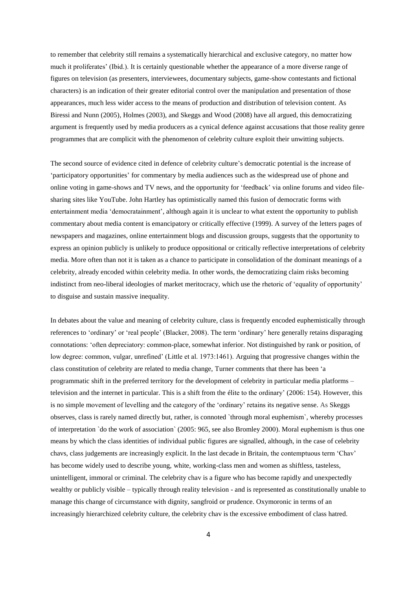to remember that celebrity still remains a systematically hierarchical and exclusive category, no matter how much it proliferates' (Ibid.). It is certainly questionable whether the appearance of a more diverse range of figures on television (as presenters, interviewees, documentary subjects, game-show contestants and fictional characters) is an indication of their greater editorial control over the manipulation and presentation of those appearances, much less wider access to the means of production and distribution of television content. As Biressi and Nunn (2005), Holmes (2003), and Skeggs and Wood (2008) have all argued, this democratizing argument is frequently used by media producers as a cynical defence against accusations that those reality genre programmes that are complicit with the phenomenon of celebrity culture exploit their unwitting subjects.

The second source of evidence cited in defence of celebrity culture's democratic potential is the increase of ‗participatory opportunities' for commentary by media audiences such as the widespread use of phone and online voting in game-shows and TV news, and the opportunity for 'feedback' via online forums and video filesharing sites like YouTube. John Hartley has optimistically named this fusion of democratic forms with entertainment media 'democratainment', although again it is unclear to what extent the opportunity to publish commentary about media content is emancipatory or critically effective (1999). A survey of the letters pages of newspapers and magazines, online entertainment blogs and discussion groups, suggests that the opportunity to express an opinion publicly is unlikely to produce oppositional or critically reflective interpretations of celebrity media. More often than not it is taken as a chance to participate in consolidation of the dominant meanings of a celebrity, already encoded within celebrity media. In other words, the democratizing claim risks becoming indistinct from neo-liberal ideologies of market meritocracy, which use the rhetoric of 'equality of opportunity' to disguise and sustain massive inequality.

In debates about the value and meaning of celebrity culture, class is frequently encoded euphemistically through references to 'ordinary' or 'real people' (Blacker, 2008). The term 'ordinary' here generally retains disparaging connotations: ‗often depreciatory: common-place, somewhat inferior. Not distinguished by rank or position, of low degree: common, vulgar, unrefined' (Little et al. 1973:1461). Arguing that progressive changes within the class constitution of celebrity are related to media change, Turner comments that there has been 'a programmatic shift in the preferred territory for the development of celebrity in particular media platforms – television and the internet in particular. This is a shift from the élite to the ordinary' (2006: 154). However, this is no simple movement of levelling and the category of the 'ordinary' retains its negative sense. As Skeggs observes, class is rarely named directly but, rather, is connoted `through moral euphemism`, whereby processes of interpretation `do the work of association` (2005: 965, see also Bromley 2000). Moral euphemism is thus one means by which the class identities of individual public figures are signalled, although, in the case of celebrity chavs, class judgements are increasingly explicit. In the last decade in Britain, the contemptuous term 'Chav' has become widely used to describe young, white, working-class men and women as shiftless, tasteless, unintelligent, immoral or criminal. The celebrity chav is a figure who has become rapidly and unexpectedly wealthy or publicly visible – typically through reality television - and is represented as constitutionally unable to manage this change of circumstance with dignity, sangfroid or prudence. Oxymoronic in terms of an increasingly hierarchized celebrity culture, the celebrity chav is the excessive embodiment of class hatred.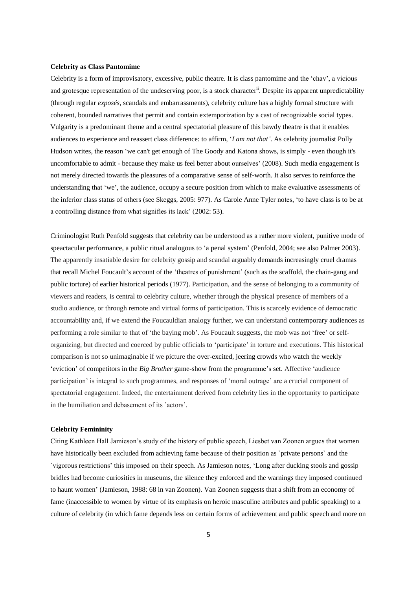#### **Celebrity as Class Pantomime**

Celebrity is a form of improvisatory, excessive, public theatre. It is class pantomime and the 'chav', a vicious and grotesque representation of the undeserving poor, is a stock character<sup>ii</sup>. Despite its apparent unpredictability (through regular *exposés*, scandals and embarrassments), celebrity culture has a highly formal structure with coherent, bounded narratives that permit and contain extemporization by a cast of recognizable social types. Vulgarity is a predominant theme and a central spectatorial pleasure of this bawdy theatre is that it enables audiences to experience and reassert class difference: to affirm, ‗*I am not that'*. As celebrity journalist Polly Hudson writes, the reason 'we can't get enough of The Goody and Katona shows, is simply - even though it's uncomfortable to admit - because they make us feel better about ourselves' (2008). Such media engagement is not merely directed towards the pleasures of a comparative sense of self-worth. It also serves to reinforce the understanding that ‗we', the audience, occupy a secure position from which to make evaluative assessments of the inferior class status of others (see Skeggs, 2005: 977). As Carole Anne Tyler notes, 'to have class is to be at a controlling distance from what signifies its lack' (2002: 53).

Criminologist Ruth Penfold suggests that celebrity can be understood as a rather more violent, punitive mode of speactacular performance, a public ritual analogous to 'a penal system' (Penfold, 2004; see also Palmer 2003). The apparently insatiable desire for celebrity gossip and scandal arguably demands increasingly cruel dramas that recall Michel Foucault's account of the 'theatres of punishment' (such as the scaffold, the chain-gang and public torture) of earlier historical periods (1977). Participation, and the sense of belonging to a community of viewers and readers, is central to celebrity culture, whether through the physical presence of members of a studio audience, or through remote and virtual forms of participation. This is scarcely evidence of democratic accountability and, if we extend the Foucauldian analogy further, we can understand contemporary audiences as performing a role similar to that of 'the baying mob'. As Foucault suggests, the mob was not 'free' or selforganizing, but directed and coerced by public officials to 'participate' in torture and executions. This historical comparison is not so unimaginable if we picture the over-excited, jeering crowds who watch the weekly ‗eviction' of competitors in the *Big Brother* game-show from the programme's set. Affective ‗audience participation' is integral to such programmes, and responses of 'moral outrage' are a crucial component of spectatorial engagement. Indeed, the entertainment derived from celebrity lies in the opportunity to participate in the humiliation and debasement of its `actors'.

## **Celebrity Femininity**

Citing Kathleen Hall Jamieson's study of the history of public speech, Liesbet van Zoonen argues that women have historically been excluded from achieving fame because of their position as `private persons` and the `vigorous restrictions' this imposed on their speech. As Jamieson notes, ‗Long after ducking stools and gossip bridles had become curiosities in museums, the silence they enforced and the warnings they imposed continued to haunt women' (Jamieson, 1988: 68 in van Zoonen). Van Zoonen suggests that a shift from an economy of fame (inaccessible to women by virtue of its emphasis on heroic masculine attributes and public speaking) to a culture of celebrity (in which fame depends less on certain forms of achievement and public speech and more on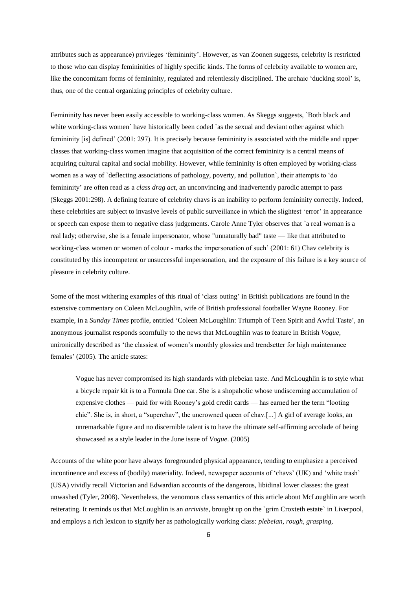attributes such as appearance) privileges ‗femininity'. However, as van Zoonen suggests, celebrity is restricted to those who can display femininities of highly specific kinds. The forms of celebrity available to women are, like the concomitant forms of femininity, regulated and relentlessly disciplined. The archaic 'ducking stool' is, thus, one of the central organizing principles of celebrity culture.

Femininity has never been easily accessible to working-class women. As Skeggs suggests, `Both black and white working-class women` have historically been coded `as the sexual and deviant other against which femininity [is] defined' (2001: 297). It is precisely because femininity is associated with the middle and upper classes that working-class women imagine that acquisition of the correct femininity is a central means of acquiring cultural capital and social mobility. However, while femininity is often employed by working-class women as a way of `deflecting associations of pathology, poverty, and pollution`, their attempts to 'do femininity' are often read as a *class drag act*, an unconvincing and inadvertently parodic attempt to pass (Skeggs 2001:298). A defining feature of celebrity chavs is an inability to perform femininity correctly. Indeed, these celebrities are subject to invasive levels of public surveillance in which the slightest ‗error' in appearance or speech can expose them to negative class judgements. Carole Anne Tyler observes that `a real woman is a real lady; otherwise, she is a female impersonator, whose "unnaturally bad" taste — like that attributed to working-class women or women of colour - marks the impersonation of such' (2001: 61) Chav celebrity is constituted by this incompetent or unsuccessful impersonation, and the exposure of this failure is a key source of pleasure in celebrity culture.

Some of the most withering examples of this ritual of 'class outing' in British publications are found in the extensive commentary on Coleen McLoughlin, wife of British professional footballer Wayne Rooney. For example, in a *Sunday Times* profile, entitled ‗Coleen McLoughlin: Triumph of Teen Spirit and Awful Taste', an anonymous journalist responds scornfully to the news that McLoughlin was to feature in British *Vogue*, unironically described as 'the classiest of women's monthly glossies and trendsetter for high maintenance females' (2005). The article states:

Vogue has never compromised its high standards with plebeian taste. And McLoughlin is to style what a bicycle repair kit is to a Formula One car. She is a shopaholic whose undiscerning accumulation of expensive clothes — paid for with Rooney's gold credit cards — has earned her the term "looting" chic". She is, in short, a "superchav", the uncrowned queen of chav.[...] A girl of average looks, an unremarkable figure and no discernible talent is to have the ultimate self-affirming accolade of being showcased as a style leader in the June issue of *Vogue*. (2005)

Accounts of the white poor have always foregrounded physical appearance, tending to emphasize a perceived incontinence and excess of (bodily) materiality. Indeed, newspaper accounts of ‗chavs' (UK) and ‗white trash' (USA) vividly recall Victorian and Edwardian accounts of the dangerous, libidinal lower classes: the great unwashed (Tyler, 2008). Nevertheless, the venomous class semantics of this article about McLoughlin are worth reiterating. It reminds us that McLoughlin is an *arriviste,* brought up on the `grim Croxteth estate` in Liverpool, and employs a rich lexicon to signify her as pathologically working class: *plebeian*, *rough*, *grasping*,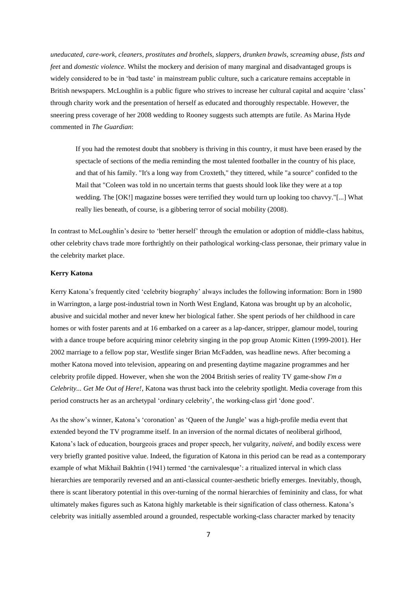*uneducated*, *care-work*, *cleaners*, *prostitutes and brothels*, *slappers*, *drunken brawls*, *screaming abuse*, *fists and feet* and *domestic violence*. Whilst the mockery and derision of many marginal and disadvantaged groups is widely considered to be in 'bad taste' in mainstream public culture, such a caricature remains acceptable in British newspapers. McLoughlin is a public figure who strives to increase her cultural capital and acquire 'class' through charity work and the presentation of herself as educated and thoroughly respectable. However, the sneering press coverage of her 2008 wedding to Rooney suggests such attempts are futile. As Marina Hyde commented in *The Guardian*:

If you had the remotest doubt that snobbery is thriving in this country, it must have been erased by the spectacle of sections of the media reminding the most talented footballer in the country of his place, and that of his family. "It's a long way from Croxteth," they tittered, while "a source" confided to the Mail that "Coleen was told in no uncertain terms that guests should look like they were at a top wedding. The [OK!] magazine bosses were terrified they would turn up looking too chavvy."[...] What really lies beneath, of course, is a gibbering terror of social mobility (2008).

In contrast to McLoughlin's desire to 'better herself' through the emulation or adoption of middle-class habitus, other celebrity chavs trade more forthrightly on their pathological working-class personae, their primary value in the celebrity market place.

## **Kerry Katona**

Kerry Katona's frequently cited 'celebrity biography' always includes the following information: Born in 1980 in Warrington, a large post-industrial town in North West England, Katona was brought up by an alcoholic, abusive and suicidal mother and never knew her biological father. She spent periods of her childhood in care homes or with foster parents and at 16 embarked on a career as a lap-dancer, stripper, glamour model, touring with a dance troupe before acquiring minor celebrity singing in the pop group Atomic Kitten (1999-2001). Her 2002 marriage to a fellow pop star, Westlife singer Brian McFadden, was headline news. After becoming a mother Katona moved into television, appearing on and presenting daytime magazine programmes and her celebrity profile dipped. However, when she won the 2004 British series of reality TV game-show *I'm a Celebrity... Get Me Out of Here!*, Katona was thrust back into the celebrity spotlight. Media coverage from this period constructs her as an archetypal 'ordinary celebrity', the working-class girl 'done good'.

As the show's winner, Katona's ‗coronation' as ‗Queen of the Jungle' was a high-profile media event that extended beyond the TV programme itself. In an inversion of the normal dictates of neoliberal girlhood, Katona's lack of education, bourgeois graces and proper speech, her vulgarity, *naïveté*, and bodily excess were very briefly granted positive value. Indeed, the figuration of Katona in this period can be read as a contemporary example of what Mikhail Bakhtin (1941) termed 'the carnivalesque': a ritualized interval in which class hierarchies are temporarily reversed and an anti-classical counter-aesthetic briefly emerges. Inevitably, though, there is scant liberatory potential in this over-turning of the normal hierarchies of femininity and class, for what ultimately makes figures such as Katona highly marketable is their signification of class otherness. Katona's celebrity was initially assembled around a grounded, respectable working-class character marked by tenacity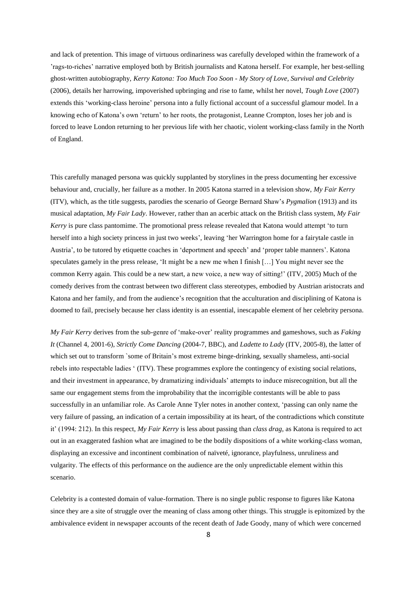and lack of pretention. This image of virtuous ordinariness was carefully developed within the framework of a 'rags-to-riches' narrative employed both by British journalists and Katona herself. For example, her best-selling ghost-written autobiography, *Kerry Katona: Too Much Too Soon - My Story of Love, Survival and Celebrity*  (2006), details her harrowing, impoverished upbringing and rise to fame, whilst her novel, *Tough Love* (2007) extends this ‗working-class heroine' persona into a fully fictional account of a successful glamour model. In a knowing echo of Katona's own 'return' to her roots, the protagonist, Leanne Crompton, loses her job and is forced to leave London returning to her previous life with her chaotic, violent working-class family in the North of England.

This carefully managed persona was quickly supplanted by storylines in the press documenting her excessive behaviour and, crucially, her failure as a mother. In 2005 Katona starred in a television show, *My Fair Kerry* (ITV), which, as the title suggests, parodies the scenario of George Bernard Shaw's *Pygmalion* (1913) and its musical adaptation, *My Fair Lady*. However, rather than an acerbic attack on the British class system, *My Fair Kerry* is pure class pantomime. The promotional press release revealed that Katona would attempt 'to turn herself into a high society princess in just two weeks', leaving 'her Warrington home for a fairytale castle in Austria', to be tutored by etiquette coaches in 'deportment and speech' and 'proper table manners'. Katona speculates gamely in the press release, 'It might be a new me when I finish [...] You might never see the common Kerry again. This could be a new start, a new voice, a new way of sitting!' (ITV, 2005) Much of the comedy derives from the contrast between two different class stereotypes, embodied by Austrian aristocrats and Katona and her family, and from the audience's recognition that the acculturation and disciplining of Katona is doomed to fail, precisely because her class identity is an essential, inescapable element of her celebrity persona.

*My Fair Kerry* derives from the sub-genre of ‗make-over' reality programmes and gameshows, such as *Faking It* (Channel 4, 2001-6), *Strictly Come Dancing* (2004-7, BBC), and *Ladette to Lady* (ITV, 2005-8), the latter of which set out to transform `some of Britain's most extreme binge-drinking, sexually shameless, anti-social rebels into respectable ladies ‗ (ITV). These programmes explore the contingency of existing social relations, and their investment in appearance, by dramatizing individuals' attempts to induce misrecognition, but all the same our engagement stems from the improbability that the incorrigible contestants will be able to pass successfully in an unfamiliar role. As Carole Anne Tyler notes in another context, 'passing can only name the very failure of passing, an indication of a certain impossibility at its heart, of the contradictions which constitute it' (1994: 212). In this respect, *My Fair Kerry* is less about passing than *class drag*, as Katona is required to act out in an exaggerated fashion what are imagined to be the bodily dispositions of a white working-class woman, displaying an excessive and incontinent combination of naïveté, ignorance, playfulness, unruliness and vulgarity. The effects of this performance on the audience are the only unpredictable element within this scenario.

Celebrity is a contested domain of value-formation. There is no single public response to figures like Katona since they are a site of struggle over the meaning of class among other things. This struggle is epitomized by the ambivalence evident in newspaper accounts of the recent death of Jade Goody, many of which were concerned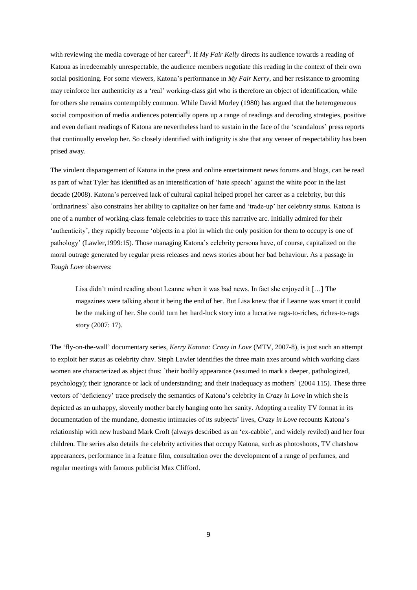with reviewing the media coverage of her career<sup>iii</sup>. If *My Fair Kelly* directs its audience towards a reading of Katona as irredeemably unrespectable, the audience members negotiate this reading in the context of their own social positioning. For some viewers, Katona's performance in *My Fair Kerry*, and her resistance to grooming may reinforce her authenticity as a 'real' working-class girl who is therefore an object of identification, while for others she remains contemptibly common. While David Morley (1980) has argued that the heterogeneous social composition of media audiences potentially opens up a range of readings and decoding strategies, positive and even defiant readings of Katona are nevertheless hard to sustain in the face of the 'scandalous' press reports that continually envelop her. So closely identified with indignity is she that any veneer of respectability has been prised away.

The virulent disparagement of Katona in the press and online entertainment news forums and blogs, can be read as part of what Tyler has identified as an intensification of 'hate speech' against the white poor in the last decade (2008). Katona's perceived lack of cultural capital helped propel her career as a celebrity, but this `ordinariness` also constrains her ability to capitalize on her fame and ‗trade-up' her celebrity status. Katona is one of a number of working-class female celebrities to trace this narrative arc. Initially admired for their 'authenticity', they rapidly become 'objects in a plot in which the only position for them to occupy is one of pathology' (Lawler,1999:15). Those managing Katona's celebrity persona have, of course, capitalized on the moral outrage generated by regular press releases and news stories about her bad behaviour. As a passage in *Tough Love* observes:

Lisa didn't mind reading about Leanne when it was bad news. In fact she enjoyed it […] The magazines were talking about it being the end of her. But Lisa knew that if Leanne was smart it could be the making of her. She could turn her hard-luck story into a lucrative rags-to-riches, riches-to-rags story (2007: 17).

The ‗fly-on-the-wall' documentary series, *Kerry Katona: Crazy in Love* (MTV, 2007-8), is just such an attempt to exploit her status as celebrity chav. Steph Lawler identifies the three main axes around which working class women are characterized as abject thus: `their bodily appearance (assumed to mark a deeper, pathologized, psychology); their ignorance or lack of understanding; and their inadequacy as mothers` (2004 115). These three vectors of ‗deficiency' trace precisely the semantics of Katona's celebrity in *Crazy in Love* in which she is depicted as an unhappy, slovenly mother barely hanging onto her sanity. Adopting a reality TV format in its documentation of the mundane, domestic intimacies of its subjects' lives, *Crazy in Love* recounts Katona's relationship with new husband Mark Croft (always described as an ‗ex-cabbie', and widely reviled) and her four children. The series also details the celebrity activities that occupy Katona, such as photoshoots, TV chatshow appearances, performance in a feature film, consultation over the development of a range of perfumes, and regular meetings with famous publicist Max Clifford.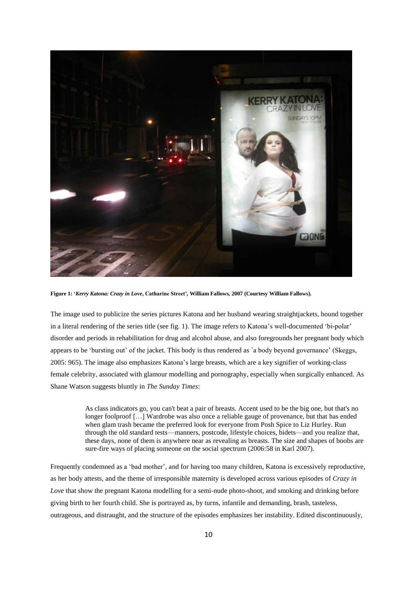

**Figure 1: '***Kerry Katona: Crazy in Love***, Catharine Street'***,* **William Fallows***,* **2007 (Courtesy William Fallows).**

The image used to publicize the series pictures Katona and her husband wearing straightjackets, bound together in a literal rendering of the series title (see fig. 1). The image refers to Katona's well-documented ‗bi-polar' disorder and periods in rehabilitation for drug and alcohol abuse, and also foregrounds her pregnant body which appears to be ‗bursting out' of the jacket. This body is thus rendered as `a body beyond governance' (Skeggs, 2005: 965). The image also emphasizes Katona's large breasts, which are a key signifier of working-class female celebrity, associated with glamour modelling and pornography, especially when surgically enhanced. As Shane Watson suggests bluntly in *The Sunday Times*:

> As class indicators go, you can't beat a pair of breasts. Accent used to be the big one, but that's no longer foolproof […] Wardrobe was also once a reliable gauge of provenance, but that has ended when glam trash became the preferred look for everyone from Posh Spice to Liz Hurley. Run through the old standard tests—manners, postcode, lifestyle choices, bidets—and you realize that, these days, none of them is anywhere near as revealing as breasts. The size and shapes of boobs are sure-fire ways of placing someone on the social spectrum (2006:58 in Karl 2007).

Frequently condemned as a 'bad mother', and for having too many children, Katona is excessively reproductive, as her body attests, and the theme of irresponsible maternity is developed across various episodes of *Crazy in Love* that show the pregnant Katona modelling for a semi-nude photo-shoot, and smoking and drinking before giving birth to her fourth child. She is portrayed as, by turns, infantile and demanding, brash, tasteless, outrageous, and distraught, and the structure of the episodes emphasizes her instability. Edited discontinuously,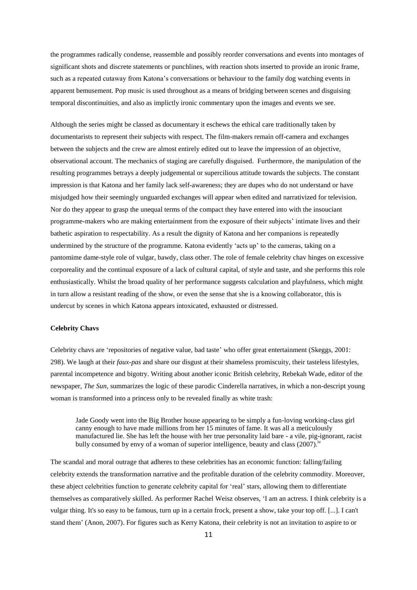the programmes radically condense, reassemble and possibly reorder conversations and events into montages of significant shots and discrete statements or punchlines, with reaction shots inserted to provide an ironic frame, such as a repeated cutaway from Katona's conversations or behaviour to the family dog watching events in apparent bemusement. Pop music is used throughout as a means of bridging between scenes and disguising temporal discontinuities, and also as implictly ironic commentary upon the images and events we see.

Although the series might be classed as documentary it eschews the ethical care traditionally taken by documentarists to represent their subjects with respect. The film-makers remain off-camera and exchanges between the subjects and the crew are almost entirely edited out to leave the impression of an objective, observational account. The mechanics of staging are carefully disguised. Furthermore, the manipulation of the resulting programmes betrays a deeply judgemental or supercilious attitude towards the subjects. The constant impression is that Katona and her family lack self-awareness; they are dupes who do not understand or have misjudged how their seemingly unguarded exchanges will appear when edited and narrativized for television. Nor do they appear to grasp the unequal terms of the compact they have entered into with the insouciant programme-makers who are making entertainment from the exposure of their subjects' intimate lives and their bathetic aspiration to respectability. As a result the dignity of Katona and her companions is repeatedly undermined by the structure of the programme. Katona evidently 'acts up' to the cameras, taking on a pantomime dame-style role of vulgar, bawdy, class other. The role of female celebrity chav hinges on excessive corporeality and the continual exposure of a lack of cultural capital, of style and taste, and she performs this role enthusiastically. Whilst the broad quality of her performance suggests calculation and playfulness, which might in turn allow a resistant reading of the show, or even the sense that she is a knowing collaborator, this is undercut by scenes in which Katona appears intoxicated, exhausted or distressed.

#### **Celebrity Chavs**

Celebrity chavs are ‗repositories of negative value, bad taste' who offer great entertainment (Skeggs, 2001: 298). We laugh at their *faux-pas* and share our disgust at their shameless promiscuity, their tasteless lifestyles, parental incompetence and bigotry. Writing about another iconic British celebrity, Rebekah Wade, editor of the newspaper, *The Sun,* summarizes the logic of these parodic Cinderella narratives, in which a non-descript young woman is transformed into a princess only to be revealed finally as white trash:

Jade Goody went into the Big Brother house appearing to be simply a fun-loving working-class girl canny enough to have made millions from her 15 minutes of fame. It was all a meticulously manufactured lie. She has left the house with her true personality laid bare - a vile, pig-ignorant, racist bully consumed by envy of a woman of superior intelligence, beauty and class  $(2007)$ .<sup>iv</sup>

The scandal and moral outrage that adheres to these celebrities has an economic function: falling/failing celebrity extends the transformation narrative and the profitable duration of the celebrity commodity. Moreover, these abject celebrities function to generate celebrity capital for 'real' stars, allowing them to differentiate themselves as comparatively skilled. As performer Rachel Weisz observes, ‗I am an actress. I think celebrity is a vulgar thing. It's so easy to be famous, turn up in a certain frock, present a show, take your top off. [...]. I can't stand them' (Anon, 2007). For figures such as Kerry Katona, their celebrity is not an invitation to aspire to or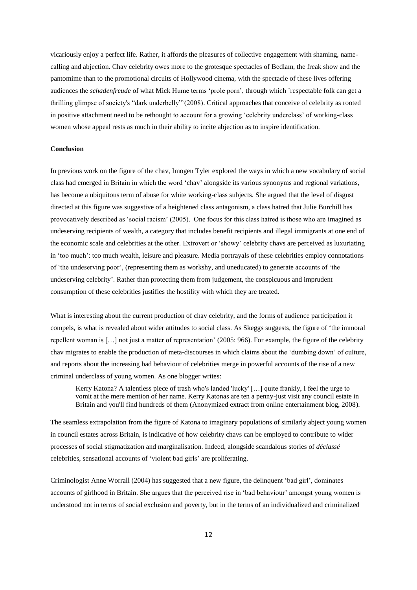vicariously enjoy a perfect life. Rather, it affords the pleasures of collective engagement with shaming, namecalling and abjection. Chav celebrity owes more to the grotesque spectacles of Bedlam, the freak show and the pantomime than to the promotional circuits of Hollywood cinema, with the spectacle of these lives offering audiences the *schadenfreude* of what Mick Hume terms 'prole porn', through which `respectable folk can get a thrilling glimpse of society's "dark underbelly" (2008). Critical approaches that conceive of celebrity as rooted in positive attachment need to be rethought to account for a growing ‗celebrity underclass' of working-class women whose appeal rests as much in their ability to incite abjection as to inspire identification.

# **Conclusion**

In previous work on the figure of the chav, Imogen Tyler explored the ways in which a new vocabulary of social class had emerged in Britain in which the word ‗chav' alongside its various synonyms and regional variations, has become a ubiquitous term of abuse for white working-class subjects. She argued that the level of disgust directed at this figure was suggestive of a heightened class antagonism, a class hatred that Julie Burchill has provocatively described as ‗social racism' (2005). One focus for this class hatred is those who are imagined as undeserving recipients of wealth, a category that includes benefit recipients and illegal immigrants at one end of the economic scale and celebrities at the other. Extrovert or ‗showy' celebrity chavs are perceived as luxuriating in 'too much': too much wealth, leisure and pleasure. Media portrayals of these celebrities employ connotations of 'the undeserving poor', (representing them as workshy, and uneducated) to generate accounts of 'the undeserving celebrity'. Rather than protecting them from judgement, the conspicuous and imprudent consumption of these celebrities justifies the hostility with which they are treated.

What is interesting about the current production of chav celebrity, and the forms of audience participation it compels, is what is revealed about wider attitudes to social class. As Skeggs suggests, the figure of 'the immoral repellent woman is […] not just a matter of representation' (2005: 966). For example, the figure of the celebrity chav migrates to enable the production of meta-discourses in which claims about the ‗dumbing down' of culture, and reports about the increasing bad behaviour of celebrities merge in powerful accounts of the rise of a new criminal underclass of young women. As one blogger writes:

Kerry Katona? A talentless piece of trash who's landed 'lucky' […] quite frankly, I feel the urge to vomit at the mere mention of her name. Kerry Katonas are ten a penny-just visit any council estate in Britain and you'll find hundreds of them (Anonymized extract from online entertainment blog, 2008).

The seamless extrapolation from the figure of Katona to imaginary populations of similarly abject young women in council estates across Britain, is indicative of how celebrity chavs can be employed to contribute to wider processes of social stigmatization and marginalisation. Indeed, alongside scandalous stories of *déclassé*  celebrities, sensational accounts of ‗violent bad girls' are proliferating.

Criminologist Anne Worrall (2004) has suggested that a new figure, the delinquent 'bad girl', dominates accounts of girlhood in Britain. She argues that the perceived rise in ‗bad behaviour' amongst young women is understood not in terms of social exclusion and poverty, but in the terms of an individualized and criminalized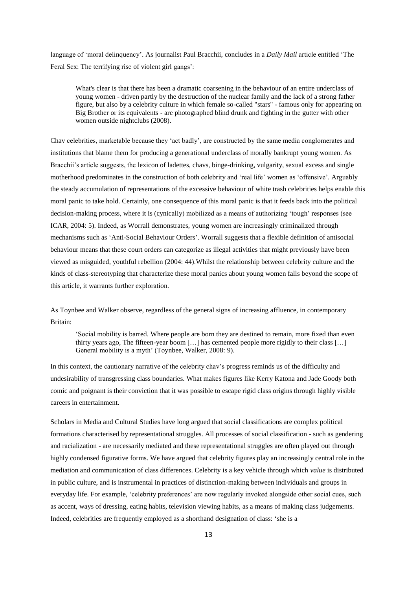language of 'moral delinquency'. As journalist Paul Bracchii, concludes in a *Daily Mail* article entitled 'The Feral Sex: The terrifying rise of violent girl gangs':

What's clear is that there has been a dramatic coarsening in the behaviour of an entire underclass of young women - driven partly by the destruction of the nuclear family and the lack of a strong father figure, but also by a celebrity culture in which female so-called "stars" - famous only for appearing on Big Brother or its equivalents - are photographed blind drunk and fighting in the gutter with other women outside nightclubs (2008).

Chav celebrities, marketable because they 'act badly', are constructed by the same media conglomerates and institutions that blame them for producing a generational underclass of morally bankrupt young women. As Bracchii's article suggests, the lexicon of ladettes, chavs, binge-drinking, vulgarity, sexual excess and single motherhood predominates in the construction of both celebrity and 'real life' women as 'offensive'. Arguably the steady accumulation of representations of the excessive behaviour of white trash celebrities helps enable this moral panic to take hold. Certainly, one consequence of this moral panic is that it feeds back into the political decision-making process, where it is (cynically) mobilized as a means of authorizing 'tough' responses (see ICAR, 2004: 5). Indeed, as Worrall demonstrates, young women are increasingly criminalized through mechanisms such as ‗Anti-Social Behaviour Orders'. Worrall suggests that a flexible definition of antisocial behaviour means that these court orders can categorize as illegal activities that might previously have been viewed as misguided, youthful rebellion (2004: 44).Whilst the relationship between celebrity culture and the kinds of class-stereotyping that characterize these moral panics about young women falls beyond the scope of this article, it warrants further exploration.

As Toynbee and Walker observe, regardless of the general signs of increasing affluence, in contemporary Britain:

‗Social mobility is barred. Where people are born they are destined to remain, more fixed than even thirty years ago, The fifteen-year boom […] has cemented people more rigidly to their class […] General mobility is a myth' (Toynbee, Walker, 2008: 9).

In this context, the cautionary narrative of the celebrity chav's progress reminds us of the difficulty and undesirability of transgressing class boundaries. What makes figures like Kerry Katona and Jade Goody both comic and poignant is their conviction that it was possible to escape rigid class origins through highly visible careers in entertainment.

Scholars in Media and Cultural Studies have long argued that social classifications are complex political formations characterised by representational struggles. All processes of social classification - such as gendering and racialization - are necessarily mediated and these representational struggles are often played out through highly condensed figurative forms. We have argued that celebrity figures play an increasingly central role in the mediation and communication of class differences. Celebrity is a key vehicle through which *value* is distributed in public culture, and is instrumental in practices of distinction-making between individuals and groups in everyday life. For example, 'celebrity preferences' are now regularly invoked alongside other social cues, such as accent, ways of dressing, eating habits, television viewing habits, as a means of making class judgements. Indeed, celebrities are frequently employed as a shorthand designation of class: ‗she is a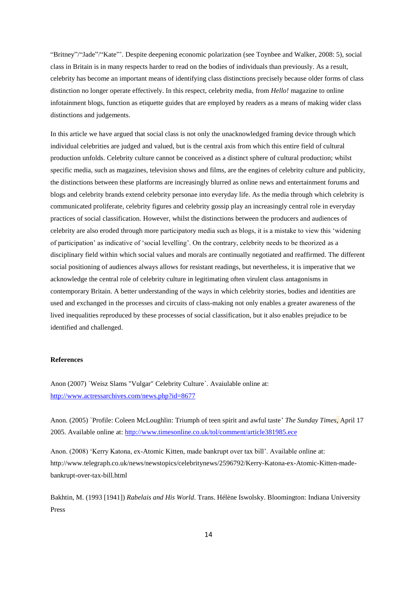"Britney"/"Jade"/"Kate"". Despite deepening economic polarization (see Toynbee and Walker, 2008: 5), social class in Britain is in many respects harder to read on the bodies of individuals than previously. As a result, celebrity has become an important means of identifying class distinctions precisely because older forms of class distinction no longer operate effectively. In this respect, celebrity media, from *Hello!* magazine to online infotainment blogs, function as etiquette guides that are employed by readers as a means of making wider class distinctions and judgements.

In this article we have argued that social class is not only the unacknowledged framing device through which individual celebrities are judged and valued, but is the central axis from which this entire field of cultural production unfolds. Celebrity culture cannot be conceived as a distinct sphere of cultural production; whilst specific media, such as magazines, television shows and films, are the engines of celebrity culture and publicity, the distinctions between these platforms are increasingly blurred as online news and entertainment forums and blogs and celebrity brands extend celebrity personae into everyday life. As the media through which celebrity is communicated proliferate, celebrity figures and celebrity gossip play an increasingly central role in everyday practices of social classification. However, whilst the distinctions between the producers and audiences of celebrity are also eroded through more participatory media such as blogs, it is a mistake to view this 'widening of participation' as indicative of ‗social levelling'. On the contrary, celebrity needs to be theorized as a disciplinary field within which social values and morals are continually negotiated and reaffirmed. The different social positioning of audiences always allows for resistant readings, but nevertheless, it is imperative that we acknowledge the central role of celebrity culture in legitimating often virulent class antagonisms in contemporary Britain. A better understanding of the ways in which celebrity stories, bodies and identities are used and exchanged in the processes and circuits of class-making not only enables a greater awareness of the lived inequalities reproduced by these processes of social classification, but it also enables prejudice to be identified and challenged.

### **References**

Anon (2007) `Weisz Slams "Vulgar" Celebrity Culture`. Avaiulable online at: <http://www.actressarchives.com/news.php?id=8677>

Anon. (2005) `Profile: Coleen McLoughlin: Triumph of teen spirit and awful taste' *The Sunday Times*, April 17 2005. Available online at: <http://www.timesonline.co.uk/tol/comment/article381985.ece>

Anon. (2008) ‗Kerry Katona, ex-Atomic Kitten, made bankrupt over tax bill'. Available online at: http://www.telegraph.co.uk/news/newstopics/celebritynews/2596792/Kerry-Katona-ex-Atomic-Kitten-madebankrupt-over-tax-bill.html

Bakhtin, M. (1993 [1941]) *Rabelais and His World*. Trans. Hélène Iswolsky. Bloomington: Indiana University Press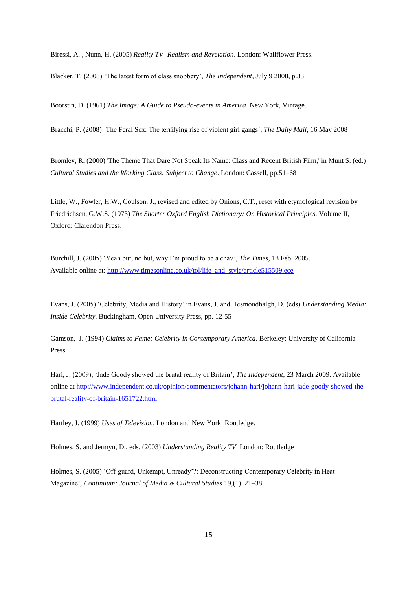Biressi, A. , Nunn, H. (2005) *Reality TV- Realism and Revelation*. London: Wallflower Press.

Blacker, T. (2008) ‗The latest form of class snobbery', *The Independent*, July 9 2008, p.33

Boorstin, D. (1961) *The Image: A Guide to Pseudo-events in America*. New York, Vintage.

Bracchi, P. (2008) `The Feral Sex: The terrifying rise of violent girl gangs`, *The Daily Mail*, 16 May 2008

Bromley, R. (2000) 'The Theme That Dare Not Speak Its Name: Class and Recent British Film,' in Munt S. (ed.) *Cultural Studies and the Working Class: Subject to Change*. London: Cassell, pp.51–68

Little, W., Fowler, H.W., Coulson, J., revised and edited by Onions, C.T., reset with etymological revision by Friedrichsen, G.W.S. (1973) *The Shorter Oxford English Dictionary: On Historical Principles*. Volume II, Oxford: Clarendon Press.

Burchill, J. (2005) ‗Yeah but, no but, why I'm proud to be a chav', *The Times*, 18 Feb. 2005. Available online at: [http://www.timesonline.co.uk/tol/life\\_and\\_style/article515509.ece](http://www.timesonline.co.uk/tol/life_and_style/article515509.ece)

Evans, J. (2005) ‗Celebrity, Media and History' in Evans, J. and Hesmondhalgh, D. (eds) *Understanding Media: Inside Celebrity*. Buckingham, Open University Press, pp. 12-55

Gamson, J. (1994) *Claims to Fame: Celebrity in Contemporary America*. Berkeley: University of California Press

Hari, J, (2009), ‗Jade Goody showed the brutal reality of Britain', *The Independent*, 23 March 2009. Available online at [http://www.independent.co.uk/opinion/commentators/johann-hari/johann-hari-jade-goody-showed-the](http://www.independent.co.uk/opinion/commentators/johann-hari/johann-hari-jade-goody-showed-the-brutal-reality-of-britain-1651722.html)[brutal-reality-of-britain-1651722.html](http://www.independent.co.uk/opinion/commentators/johann-hari/johann-hari-jade-goody-showed-the-brutal-reality-of-britain-1651722.html)

Hartley, J. (1999) *Uses of Television*. London and New York: Routledge.

Holmes, S. and Jermyn, D., eds. (2003) *Understanding Reality TV*. London: Routledge

Holmes, S. (2005) 'Off-guard, Unkempt, Unready'?: Deconstructing Contemporary Celebrity in Heat Magazine‗, *Continuum: Journal of Media & Cultural Studies* 19,(1). 21–38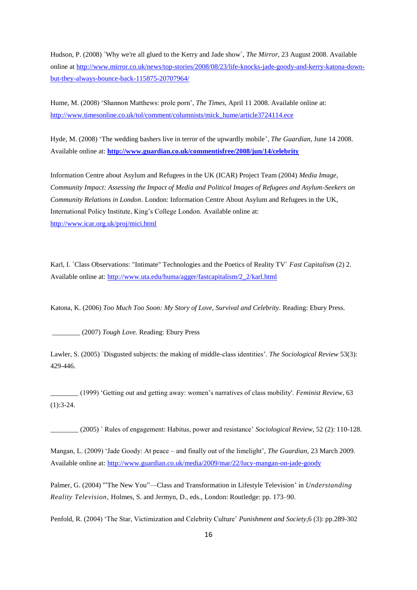Hudson, P. (2008) `Why we're all glued to the Kerry and Jade show`, *The Mirror*, 23 August 2008. Available online at [http://www.mirror.co.uk/news/top-stories/2008/08/23/life-knocks-jade-goody-and-kerry-katona-down](http://www.mirror.co.uk/news/top-stories/2008/08/23/life-knocks-jade-goody-and-kerry-katona-down-but-they-always-bounce-back-115875-20707964/)[but-they-always-bounce-back-115875-20707964/](http://www.mirror.co.uk/news/top-stories/2008/08/23/life-knocks-jade-goody-and-kerry-katona-down-but-they-always-bounce-back-115875-20707964/)

Hume, M. (2008) 'Shannon Matthews: prole porn', *The Times*, April 11 2008. Available online at: [http://www.timesonline.co.uk/tol/comment/columnists/mick\\_hume/article3724114.ece](http://www.timesonline.co.uk/tol/comment/columnists/mick_hume/article3724114.ece)

Hyde, M. (2008) ‗The wedding bashers live in terror of the upwardly mobile', *The Guardian*, June 14 2008. Available online at: **<http://www.guardian.co.uk/commentisfree/2008/jun/14/celebrity>**

Information Centre about Asylum and Refugees in the UK (ICAR) Project Team (2004) *Media Image, Community Impact: Assessing the Impact of Media and Political Images of Refugees and Asylum-Seekers on Community Relations in London*. London: Information Centre About Asylum and Refugees in the UK, International Policy Institute, King's College London. Available online at: <http://www.icar.org.uk/proj/mici.html>

Karl, I. `Class Observations: "Intimate" Technologies and the Poetics of Reality TV` *Fast Capitalism* (2) 2. Available online at: [http://www.uta.edu/huma/agger/fastcapitalism/2\\_2/karl.html](http://www.uta.edu/huma/agger/fastcapitalism/2_2/karl.html)

Katona, K. (2006) *Too Much Too Soon: My Story of Love, Survival and Celebrity.* Reading: Ebury Press.

\_\_\_\_\_\_\_\_ (2007) *Tough Love.* Reading: Ebury Press

Lawler, S. (2005) `Disgusted subjects: the making of middle-class identities'. *The Sociological Review* 53(3): 429-446.

\_\_\_\_\_\_\_\_ (1999) ‗Getting out and getting away: women's narratives of class mobility'. *Feminist Review*, 63  $(1):3-24.$ 

\_\_\_\_\_\_\_\_ (2005) ` Rules of engagement: Habitus, power and resistance' *Sociological Review*, 52 (2): 110-128.

Mangan, L. (2009) ‗Jade Goody: At peace – and finally out of the limelight', *The Guardian,* 23 March 2009. Available online at: <http://www.guardian.co.uk/media/2009/mar/22/lucy-mangan-on-jade-goody>

Palmer, G. (2004) "The New You"—Class and Transformation in Lifestyle Television' in *Understanding Reality Television,* Holmes, S. and Jermyn, D., eds., London: Routledge: pp. 173–90.

Penfold, R. (2004) ‗The Star, Victimization and Celebrity Culture' *Punishment and Society*,6 (3): pp.289-302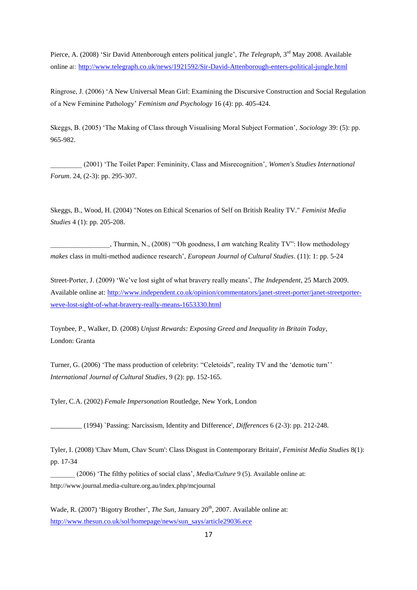Pierce, A. (2008) 'Sir David Attenborough enters political jungle', *The Telegraph*, 3<sup>rd</sup> May 2008. Available online at: <http://www.telegraph.co.uk/news/1921592/Sir-David-Attenborough-enters-political-jungle.html>

Ringrose, J. (2006) ‗A New Universal Mean Girl: Examining the Discursive Construction and Social Regulation of a New Feminine Pathology' *Feminism and Psychology* 16 (4): pp. 405-424.

Skeggs, B. (2005) ‗The Making of Class through Visualising Moral Subject Formation', *Sociology* 39: (5): pp. 965-982.

\_\_\_\_\_\_\_\_\_ (2001) ‗The Toilet Paper: Femininity, Class and Misrecognition', *Women's Studies International Forum*. 24, (2-3): pp. 295-307.

Skeggs, B., Wood, H. (2004) "Notes on Ethical Scenarios of Self on British Reality TV." *Feminist Media Studies* 4 (1): pp. 205-208.

\_\_\_, Thurmin, N., (2008) "Oh goodness, I *am* watching Reality TV": How methodology *makes* class in multi-method audience research', *European Journal of Cultural Studies*. (11): 1: pp. 5-24

Street-Porter, J. (2009) ‗We've lost sight of what bravery really means', *The Independent*, 25 March 2009. Available online at: [http://www.independent.co.uk/opinion/commentators/janet-street-porter/janet-streetporter](http://www.independent.co.uk/opinion/commentators/janet-street-porter/janet-streetporter-weve-lost-sight-of-what-bravery-really-means-1653330.html)[weve-lost-sight-of-what-bravery-really-means-1653330.html](http://www.independent.co.uk/opinion/commentators/janet-street-porter/janet-streetporter-weve-lost-sight-of-what-bravery-really-means-1653330.html)

Toynbee, P., Walker, D. (2008) *Unjust Rewards: Exposing Greed and Inequality in Britain Today*, London: Granta

Turner, G. (2006) 'The mass production of celebrity: "Celetoids", reality TV and the 'demotic turn'' *International Journal of Cultural Studies,* 9 (2): pp. 152-165.

Tyler, C.A. (2002) *Female Impersonation* Routledge, New York, London

\_\_\_\_\_\_\_\_\_ (1994) `Passing: Narcissism, Identity and Difference', *Differences* 6 (2-3): pp. 212-248.

Tyler, I. (2008) 'Chav Mum, Chav Scum': Class Disgust in Contemporary Britain', *Feminist Media Studies* 8(1): pp. 17-34

\_\_\_\_\_\_\_ (2006) ‗The filthy politics of social class', *Media/Culture* 9 (5). Available online at: http://www.journal.media-culture.org.au/index.php/mcjournal

Wade, R. (2007) 'Bigotry Brother', *The Sun*, January 20<sup>th</sup>, 2007. Available online at: [http://www.thesun.co.uk/sol/homepage/news/sun\\_says/article29036.ece](http://www.thesun.co.uk/sol/homepage/news/sun_says/article29036.ece)